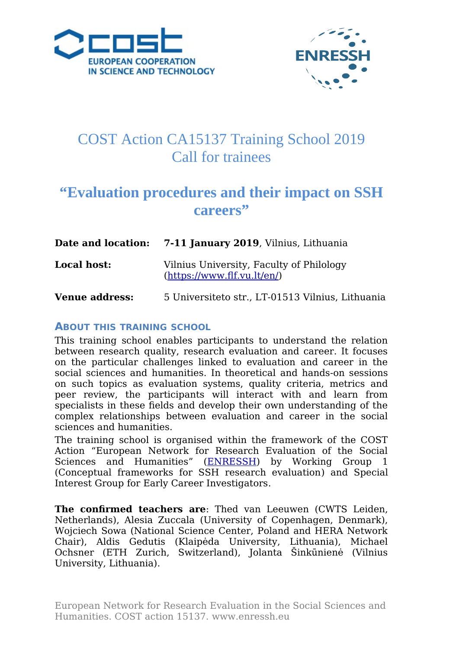



# COST Action CA15137 Training School 2019 Call for trainees

## **"Evaluation procedures and their impact on SSH careers"**

|                       | <b>Date and location:</b> 7-11 January 2019, Vilnius, Lithuania         |
|-----------------------|-------------------------------------------------------------------------|
| <b>Local host:</b>    | Vilnius University, Faculty of Philology<br>(htips://www.flf.vu.lt/en/) |
| <b>Venue address:</b> | 5 Universiteto str., LT-01513 Vilnius, Lithuania                        |

#### **ABOUT THIS TRAINING SCHOOL**

This training school enables participants to understand the relation between research quality, research evaluation and career. It focuses on the particular challenges linked to evaluation and career in the social sciences and humanities. In theoretical and hands-on sessions on such topics as evaluation systems, quality criteria, metrics and peer review, the participants will interact with and learn from specialists in these fields and develop their own understanding of the complex relationships between evaluation and career in the social sciences and humanities.

The training school is organised within the framework of the COST Action "European Network for Research Evaluation of the Social Sciences and Humanities" [\(ENRESSH\)](http://enressh.eu/) by Working Group 1 [\(Conceptual frameworks for SSH research evaluation\)](http://enressh.eu/working-group-1/objectives/) and Special Interest Group for [Early Career Investigators.](http://enressh.eu/early-stage-investigators/)

**The confirmed teachers are**: Thed van Leeuwen (CWTS Leiden, Netherlands), Alesia Zuccala (University of Copenhagen, Denmark), Wojciech Sowa (National Science Center, Poland and HERA Network Chair), Aldis Gedutis (Klaipėda University, Lithuania), Michael Ochsner (ETH Zurich, Switzerland), Jolanta Šinkūnienė (Vilnius University, Lithuania).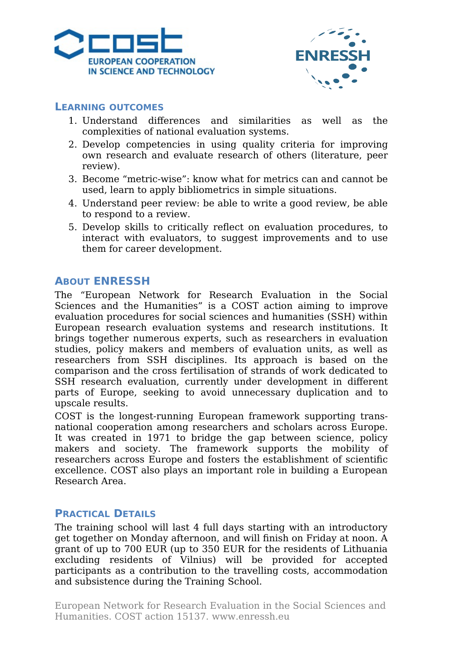



#### **LEARNING OUTCOMES**

- 1. Understand differences and similarities as well as the complexities of national evaluation systems.
- 2. Develop competencies in using quality criteria for improving own research and evaluate research of others (literature, peer review).
- 3. Become "metric-wise": know what for metrics can and cannot be used, learn to apply bibliometrics in simple situations.
- 4. Understand peer review: be able to write a good review, be able to respond to a review.
- 5. Develop skills to critically reflect on evaluation procedures, to interact with evaluators, to suggest improvements and to use them for career development.

#### **ABOUT ENRESSH**

The "European Network for Research Evaluation in the Social Sciences and the Humanities" is a COST action aiming to improve evaluation procedures for social sciences and humanities (SSH) within European research evaluation systems and research institutions. It brings together numerous experts, such as researchers in evaluation studies, policy makers and members of evaluation units, as well as researchers from SSH disciplines. Its approach is based on the comparison and the cross fertilisation of strands of work dedicated to SSH research evaluation, currently under development in different parts of Europe, seeking to avoid unnecessary duplication and to upscale results.

COST is the longest-running European framework supporting transnational cooperation among researchers and scholars across Europe. It was created in 1971 to bridge the gap between science, policy makers and society. The framework supports the mobility of researchers across Europe and fosters the establishment of scientific excellence. COST also plays an important role in building a European Research Area.

#### **PRACTICAL DETAILS**

The training school will last 4 full days starting with an introductory get together on Monday afternoon, and will finish on Friday at noon. A grant of up to 700 EUR (up to 350 EUR for the residents of Lithuania excluding residents of Vilnius) will be provided for accepted participants as a contribution to the travelling costs, accommodation and subsistence during the Training School.

European Network for Research Evaluation in the Social Sciences and Humanities. COST action 15137. www.enressh.eu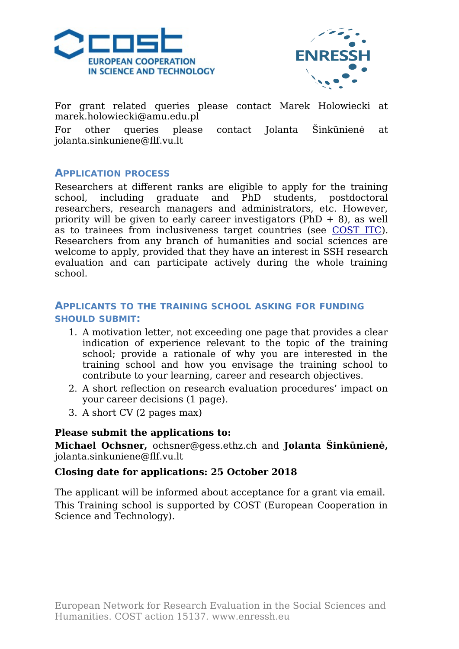



For grant related queries please contact Marek Holowiecki at marek.holowiecki@amu.edu.pl

For other queries please contact Jolanta Šinkūnienė at [jolanta.sinkuniene@flf.vu.lt](mailto:jolanta.sinkuniene@flf.vu.lt)

#### **APPLICATION PROCESS**

Researchers at different ranks are eligible to apply for the training school, including graduate and PhD students, postdoctoral researchers, research managers and administrators, etc. However, priority will be given to early career investigators  $(PhD + 8)$ , as well as to trainees from inclusiveness target countries (see [COST ITC\)](http://www.cost.eu/about_cost/strategy/excellence-inclusiveness). Researchers from any branch of humanities and social sciences are welcome to apply, provided that they have an interest in SSH research evaluation and can participate actively during the whole training school.

#### **APPLICANTS TO THE TRAINING SCHOOL ASKING FOR FUNDING SHOULD SUBMIT:**

- 1. A motivation letter, not exceeding one page that provides a clear indication of experience relevant to the topic of the training school; provide a rationale of why you are interested in the training school and how you envisage the training school to contribute to your learning, career and research objectives.
- 2. A short reflection on research evaluation procedures' impact on your career decisions (1 page).
- 3. A short CV (2 pages max)

#### **Please submit the applications to:**

**Michael Ochsner,** ochsner@gess.ethz.ch and **Jolanta Šinkūnienė,** jolanta.sinkuniene@flf.vu.lt

#### **Closing date for applications: 25 October 2018**

The applicant will be informed about acceptance for a grant via email. This Training school is supported by COST (European Cooperation in Science and Technology).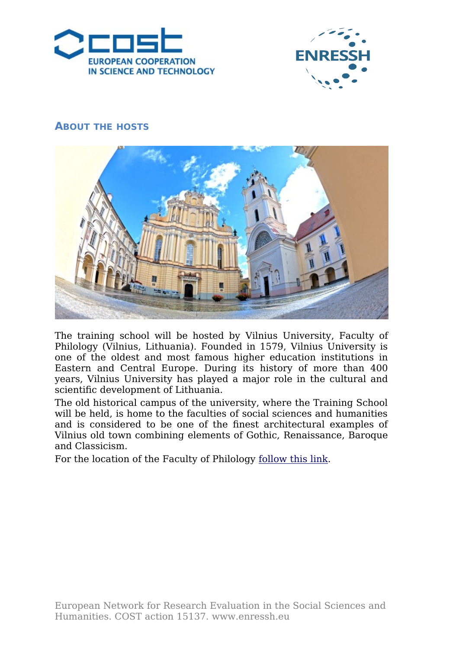



#### **ABOUT THE HOSTS**



The training school will be hosted by [Vilnius University,](https://www.vu.lt/en) Faculty of Philology (Vilnius, Lithuania). Founded in 1579, Vilnius University is one of the oldest and most famous higher education institutions in Eastern and Central Europe. During its history of more than 400 years, Vilnius University has played a major role in the cultural and scientific development of Lithuania.

The old historical campus of the university, where the Training School will be held, is home to the faculties of social sciences and humanities and is considered to be one of the finest architectural examples of Vilnius old town combining elements of Gothic, Renaissance, Baroque and Classicism.

For the location of the Faculty of Philology follow this link.